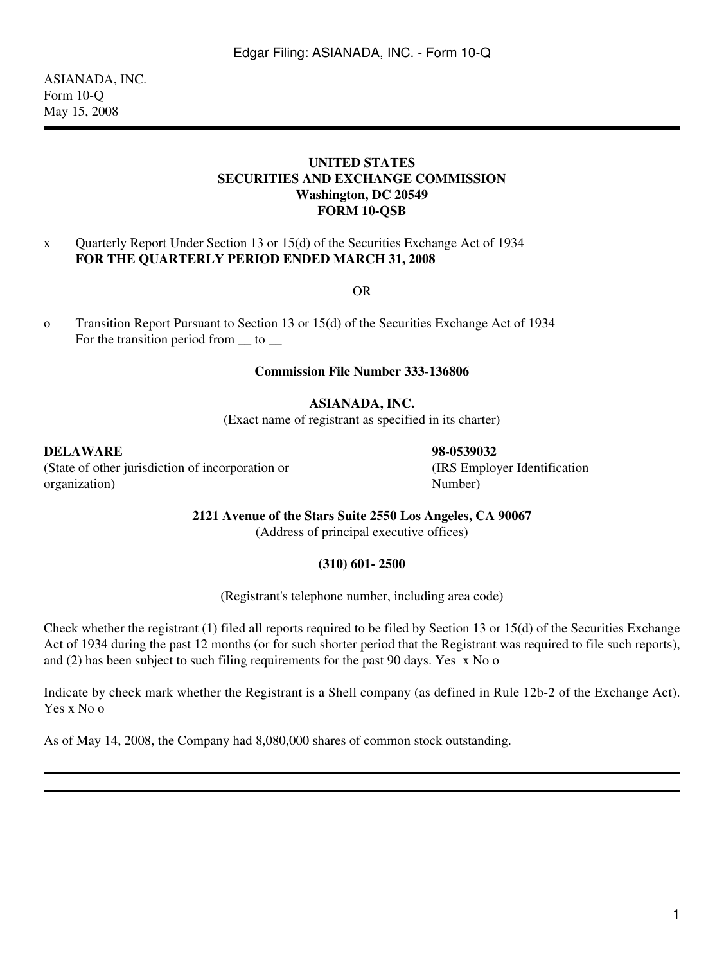ASIANADA, INC. Form 10-Q May 15, 2008

### **UNITED STATES SECURITIES AND EXCHANGE COMMISSION Washington, DC 20549 FORM 10-QSB**

#### x Quarterly Report Under Section 13 or 15(d) of the Securities Exchange Act of 1934 **FOR THE QUARTERLY PERIOD ENDED MARCH 31, 2008**

OR

o Transition Report Pursuant to Section 13 or 15(d) of the Securities Exchange Act of 1934 For the transition period from  $\equiv$  to  $\equiv$ 

#### **Commission File Number 333-136806**

### **ASIANADA, INC.**

(Exact name of registrant as specified in its charter)

#### **DELAWARE 98-0539032**

(State of other jurisdiction of incorporation or organization)

(IRS Employer Identification Number)

**2121 Avenue of the Stars Suite 2550 Los Angeles, CA 90067**

(Address of principal executive offices)

#### **(310) 601- 2500**

(Registrant's telephone number, including area code)

Check whether the registrant (1) filed all reports required to be filed by Section 13 or 15(d) of the Securities Exchange Act of 1934 during the past 12 months (or for such shorter period that the Registrant was required to file such reports), and (2) has been subject to such filing requirements for the past 90 days. Yes x No o

Indicate by check mark whether the Registrant is a Shell company (as defined in Rule 12b-2 of the Exchange Act). Yes x No o

As of May 14, 2008, the Company had 8,080,000 shares of common stock outstanding.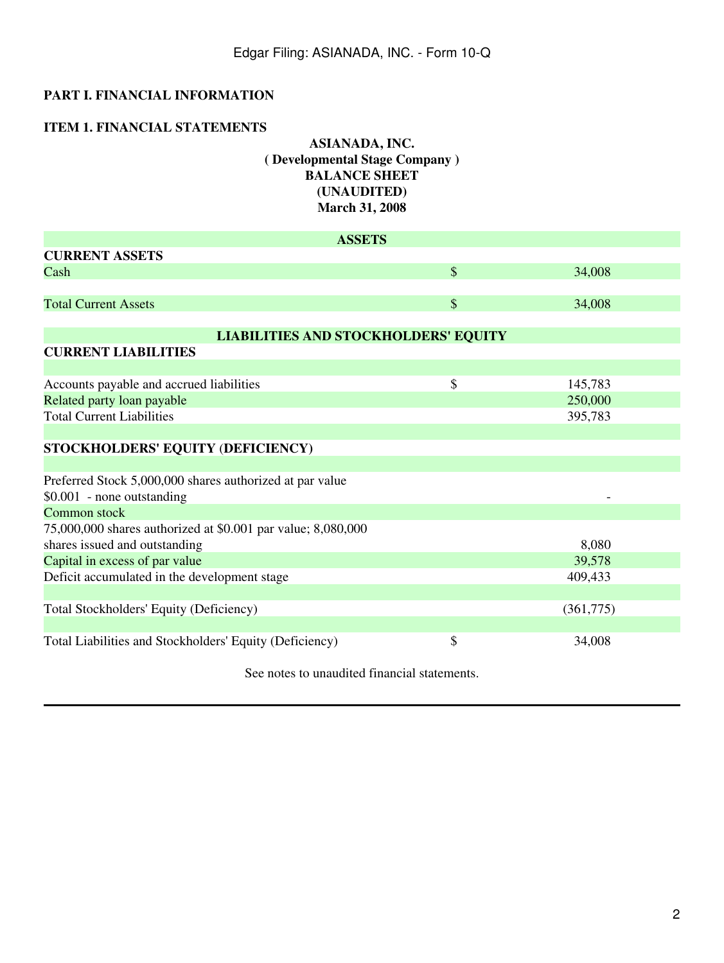# **PART I. FINANCIAL INFORMATION**

### **ITEM 1. FINANCIAL STATEMENTS**

# **ASIANADA, INC. ( Developmental Stage Company ) BALANCE SHEET (UNAUDITED) March 31, 2008**

| <b>ASSETS</b>                                                |               |           |
|--------------------------------------------------------------|---------------|-----------|
| <b>CURRENT ASSETS</b>                                        |               |           |
| Cash                                                         | $\mathcal{S}$ | 34,008    |
|                                                              |               |           |
| <b>Total Current Assets</b>                                  | \$            | 34,008    |
|                                                              |               |           |
| <b>LIABILITIES AND STOCKHOLDERS' EQUITY</b>                  |               |           |
| <b>CURRENT LIABILITIES</b>                                   |               |           |
|                                                              |               |           |
| Accounts payable and accrued liabilities                     | \$            | 145,783   |
| Related party loan payable                                   |               | 250,000   |
| <b>Total Current Liabilities</b>                             |               | 395,783   |
|                                                              |               |           |
| STOCKHOLDERS' EQUITY (DEFICIENCY)                            |               |           |
|                                                              |               |           |
| Preferred Stock 5,000,000 shares authorized at par value     |               |           |
| \$0.001 - none outstanding                                   |               |           |
| Common stock                                                 |               |           |
| 75,000,000 shares authorized at \$0.001 par value; 8,080,000 |               |           |
| shares issued and outstanding                                |               | 8,080     |
| Capital in excess of par value                               |               | 39,578    |
| Deficit accumulated in the development stage                 |               | 409,433   |
|                                                              |               |           |
| Total Stockholders' Equity (Deficiency)                      |               | (361,775) |
|                                                              |               |           |
| Total Liabilities and Stockholders' Equity (Deficiency)      | \$            | 34,008    |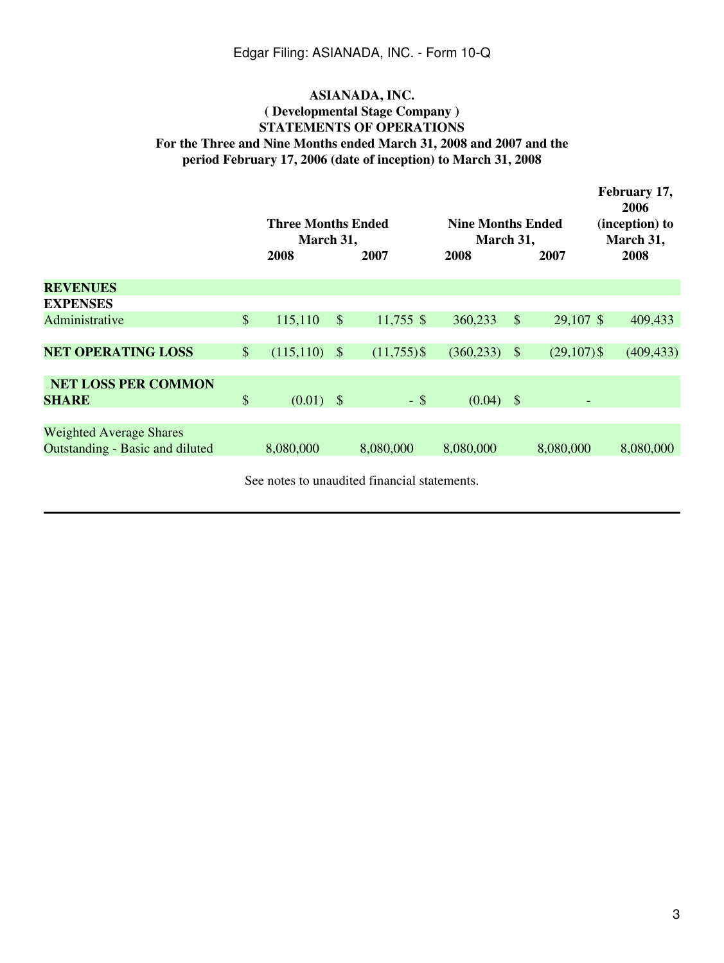## **ASIANADA, INC. ( Developmental Stage Company ) STATEMENTS OF OPERATIONS For the Three and Nine Months ended March 31, 2008 and 2007 and the period February 17, 2006 (date of inception) to March 31, 2008**

|                                 |               | <b>Three Months Ended</b><br>March 31, |               | <b>Nine Months Ended</b><br>March 31, |             | February 17,<br>2006<br>(inception) to<br>March 31, |               |            |
|---------------------------------|---------------|----------------------------------------|---------------|---------------------------------------|-------------|-----------------------------------------------------|---------------|------------|
|                                 |               | 2008                                   |               | 2007                                  | 2008        |                                                     | 2007          | 2008       |
| <b>REVENUES</b>                 |               |                                        |               |                                       |             |                                                     |               |            |
| <b>EXPENSES</b>                 |               |                                        |               |                                       |             |                                                     |               |            |
| Administrative                  | $\mathcal{S}$ | 115,110                                | $\mathcal{S}$ | $11,755$ \$                           | 360,233     | $\mathcal{S}$                                       | 29,107 \$     | 409,433    |
|                                 |               |                                        |               |                                       |             |                                                     |               |            |
| <b>NET OPERATING LOSS</b>       | $\mathcal{S}$ | (115, 110)                             | $\mathcal{S}$ | $(11,755)$ \$                         | (360, 233)  | $\mathcal{S}$                                       | $(29,107)$ \$ | (409, 433) |
|                                 |               |                                        |               |                                       |             |                                                     |               |            |
| <b>NET LOSS PER COMMON</b>      |               |                                        |               |                                       |             |                                                     |               |            |
| <b>SHARE</b>                    | $\mathcal{S}$ | $(0.01)$ \$                            |               | $-$ \$                                | $(0.04)$ \$ |                                                     |               |            |
|                                 |               |                                        |               |                                       |             |                                                     |               |            |
| <b>Weighted Average Shares</b>  |               |                                        |               |                                       |             |                                                     |               |            |
| Outstanding - Basic and diluted |               | 8,080,000                              |               | 8,080,000                             | 8,080,000   |                                                     | 8,080,000     | 8,080,000  |
|                                 |               |                                        |               |                                       |             |                                                     |               |            |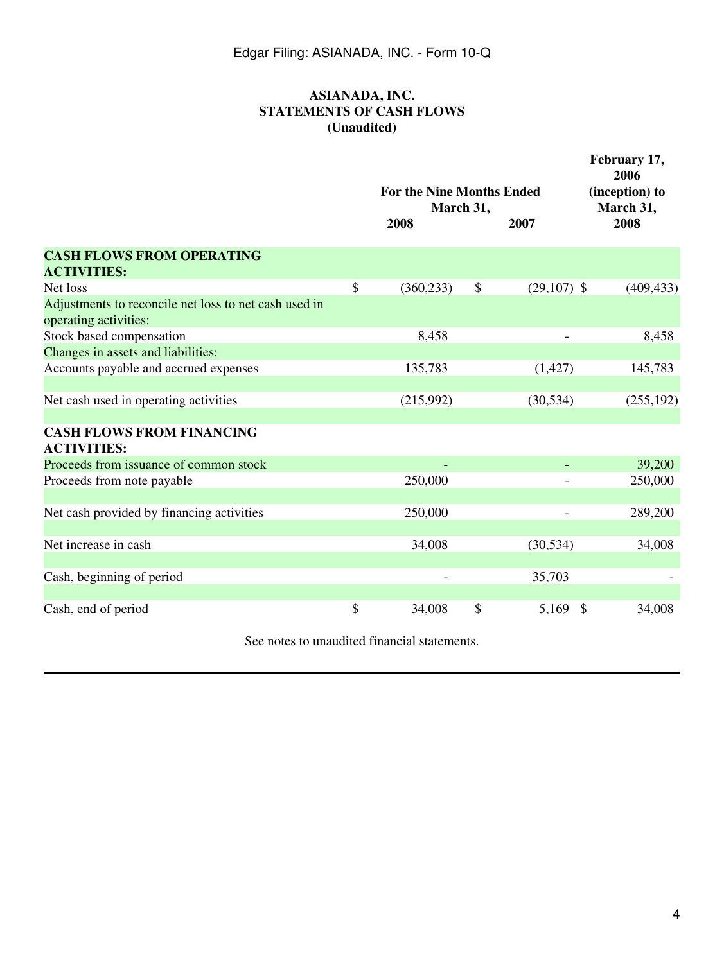# **ASIANADA, INC. STATEMENTS OF CASH FLOWS (Unaudited)**

|                                                                                |               | <b>For the Nine Months Ended</b><br>March 31,<br>2008 | February 17,<br>2006<br>(inception) to<br>March 31,<br>2008 |            |
|--------------------------------------------------------------------------------|---------------|-------------------------------------------------------|-------------------------------------------------------------|------------|
| <b>CASH FLOWS FROM OPERATING</b><br><b>ACTIVITIES:</b>                         |               |                                                       |                                                             |            |
| Net loss                                                                       | $\mathcal{S}$ | (360, 233)                                            | \$<br>$(29,107)$ \$                                         | (409, 433) |
| Adjustments to reconcile net loss to net cash used in<br>operating activities: |               |                                                       |                                                             |            |
| Stock based compensation                                                       |               | 8,458                                                 |                                                             | 8,458      |
| Changes in assets and liabilities:                                             |               |                                                       |                                                             |            |
| Accounts payable and accrued expenses                                          |               | 135,783                                               | (1,427)                                                     | 145,783    |
| Net cash used in operating activities                                          |               | (215,992)                                             | (30, 534)                                                   | (255, 192) |
| <b>CASH FLOWS FROM FINANCING</b><br><b>ACTIVITIES:</b>                         |               |                                                       |                                                             |            |
| Proceeds from issuance of common stock                                         |               |                                                       |                                                             | 39,200     |
| Proceeds from note payable                                                     |               | 250,000                                               |                                                             | 250,000    |
| Net cash provided by financing activities                                      |               | 250,000                                               |                                                             | 289,200    |
| Net increase in cash                                                           |               | 34,008                                                | (30, 534)                                                   | 34,008     |
| Cash, beginning of period                                                      |               |                                                       | 35,703                                                      |            |
| Cash, end of period                                                            | \$            | 34,008                                                | \$<br>5,169<br>-\$                                          | 34,008     |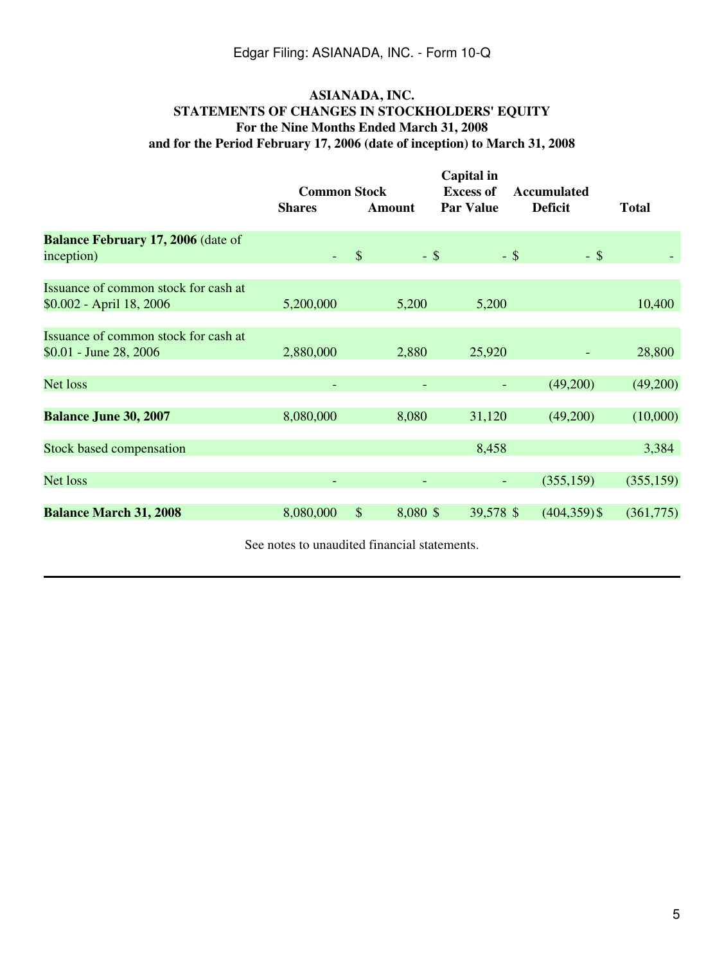# **ASIANADA, INC. STATEMENTS OF CHANGES IN STOCKHOLDERS' EQUITY For the Nine Months Ended March 31, 2008 and for the Period February 17, 2006 (date of inception) to March 31, 2008**

| <b>Shares</b> |                           |          |                                        | <b>Deficit</b>                                               | <b>Total</b>       |
|---------------|---------------------------|----------|----------------------------------------|--------------------------------------------------------------|--------------------|
|               |                           |          |                                        |                                                              |                    |
|               | $\boldsymbol{\mathsf{S}}$ | $-$ \$   | $-$ \$                                 | $-$ \$                                                       |                    |
| 5,200,000     |                           | 5,200    | 5,200                                  |                                                              | 10,400             |
|               |                           |          |                                        |                                                              | 28,800             |
|               |                           |          |                                        | (49,200)                                                     | (49,200)           |
| 8,080,000     |                           | 8,080    | 31,120                                 | (49,200)                                                     | (10,000)           |
|               |                           |          | 8,458                                  |                                                              | 3,384              |
|               |                           |          | ٠                                      | (355, 159)                                                   | (355, 159)         |
| 8,080,000     | $\boldsymbol{\mathsf{S}}$ | 8,080 \$ | 39,578 \$                              | $(404,359)$ \$                                               | (361,775)          |
|               | 2,880,000                 |          | <b>Common Stock</b><br>Amount<br>2,880 | Capital in<br><b>Excess of</b><br><b>Par Value</b><br>25,920 | <b>Accumulated</b> |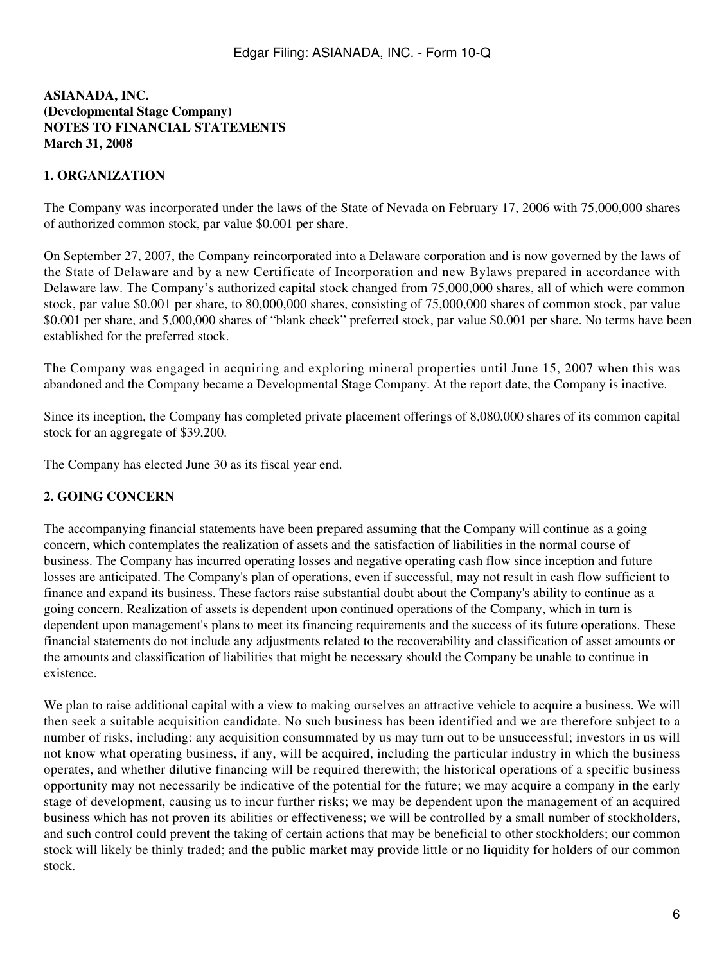### **ASIANADA, INC. (Developmental Stage Company) NOTES TO FINANCIAL STATEMENTS March 31, 2008**

#### **1. ORGANIZATION**

The Company was incorporated under the laws of the State of Nevada on February 17, 2006 with 75,000,000 shares of authorized common stock, par value \$0.001 per share.

On September 27, 2007, the Company reincorporated into a Delaware corporation and is now governed by the laws of the State of Delaware and by a new Certificate of Incorporation and new Bylaws prepared in accordance with Delaware law. The Company's authorized capital stock changed from 75,000,000 shares, all of which were common stock, par value \$0.001 per share, to 80,000,000 shares, consisting of 75,000,000 shares of common stock, par value \$0.001 per share, and 5,000,000 shares of "blank check" preferred stock, par value \$0.001 per share. No terms have been established for the preferred stock.

The Company was engaged in acquiring and exploring mineral properties until June 15, 2007 when this was abandoned and the Company became a Developmental Stage Company. At the report date, the Company is inactive.

Since its inception, the Company has completed private placement offerings of 8,080,000 shares of its common capital stock for an aggregate of \$39,200.

The Company has elected June 30 as its fiscal year end.

## **2. GOING CONCERN**

The accompanying financial statements have been prepared assuming that the Company will continue as a going concern, which contemplates the realization of assets and the satisfaction of liabilities in the normal course of business. The Company has incurred operating losses and negative operating cash flow since inception and future losses are anticipated. The Company's plan of operations, even if successful, may not result in cash flow sufficient to finance and expand its business. These factors raise substantial doubt about the Company's ability to continue as a going concern. Realization of assets is dependent upon continued operations of the Company, which in turn is dependent upon management's plans to meet its financing requirements and the success of its future operations. These financial statements do not include any adjustments related to the recoverability and classification of asset amounts or the amounts and classification of liabilities that might be necessary should the Company be unable to continue in existence.

We plan to raise additional capital with a view to making ourselves an attractive vehicle to acquire a business. We will then seek a suitable acquisition candidate. No such business has been identified and we are therefore subject to a number of risks, including: any acquisition consummated by us may turn out to be unsuccessful; investors in us will not know what operating business, if any, will be acquired, including the particular industry in which the business operates, and whether dilutive financing will be required therewith; the historical operations of a specific business opportunity may not necessarily be indicative of the potential for the future; we may acquire a company in the early stage of development, causing us to incur further risks; we may be dependent upon the management of an acquired business which has not proven its abilities or effectiveness; we will be controlled by a small number of stockholders, and such control could prevent the taking of certain actions that may be beneficial to other stockholders; our common stock will likely be thinly traded; and the public market may provide little or no liquidity for holders of our common stock.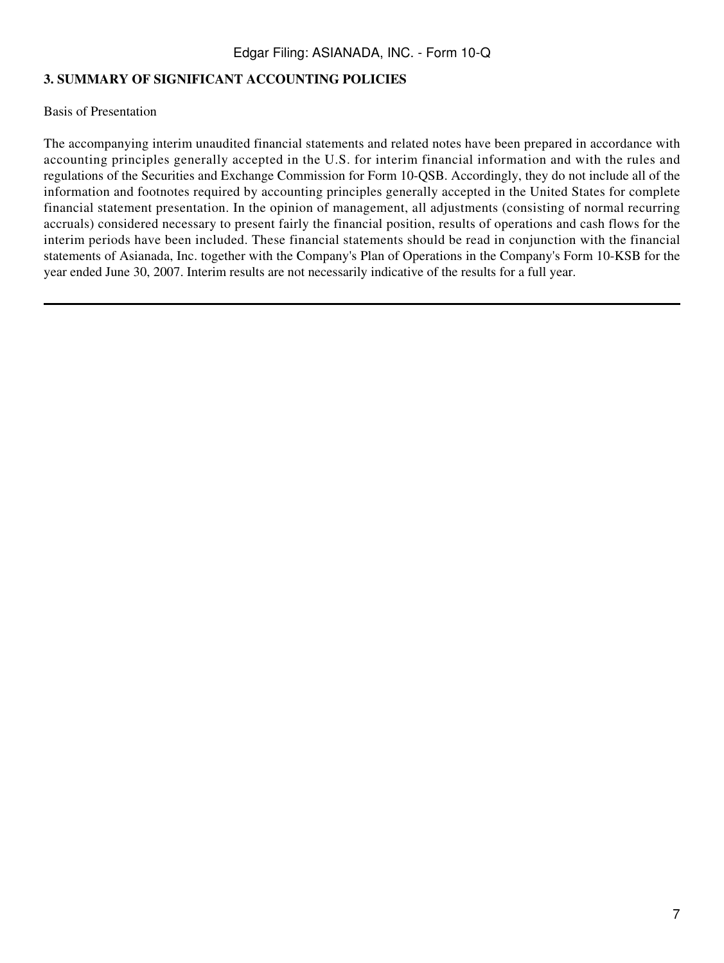# **3. SUMMARY OF SIGNIFICANT ACCOUNTING POLICIES**

Basis of Presentation

The accompanying interim unaudited financial statements and related notes have been prepared in accordance with accounting principles generally accepted in the U.S. for interim financial information and with the rules and regulations of the Securities and Exchange Commission for Form 10-QSB. Accordingly, they do not include all of the information and footnotes required by accounting principles generally accepted in the United States for complete financial statement presentation. In the opinion of management, all adjustments (consisting of normal recurring accruals) considered necessary to present fairly the financial position, results of operations and cash flows for the interim periods have been included. These financial statements should be read in conjunction with the financial statements of Asianada, Inc. together with the Company's Plan of Operations in the Company's Form 10-KSB for the year ended June 30, 2007. Interim results are not necessarily indicative of the results for a full year.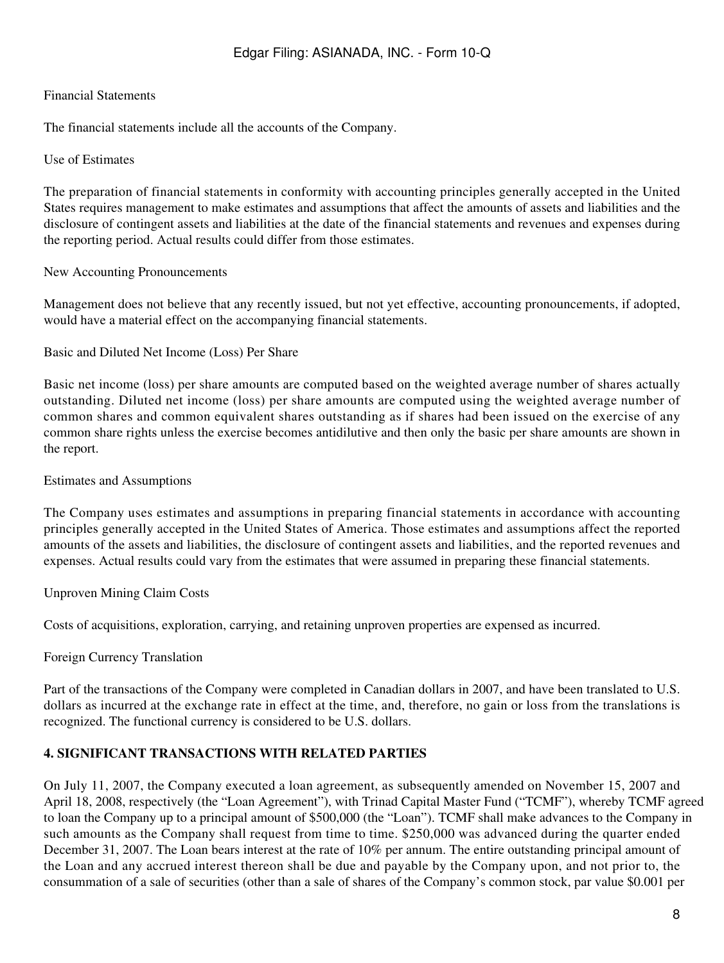## Financial Statements

The financial statements include all the accounts of the Company.

### Use of Estimates

The preparation of financial statements in conformity with accounting principles generally accepted in the United States requires management to make estimates and assumptions that affect the amounts of assets and liabilities and the disclosure of contingent assets and liabilities at the date of the financial statements and revenues and expenses during the reporting period. Actual results could differ from those estimates.

### New Accounting Pronouncements

Management does not believe that any recently issued, but not yet effective, accounting pronouncements, if adopted, would have a material effect on the accompanying financial statements.

### Basic and Diluted Net Income (Loss) Per Share

Basic net income (loss) per share amounts are computed based on the weighted average number of shares actually outstanding. Diluted net income (loss) per share amounts are computed using the weighted average number of common shares and common equivalent shares outstanding as if shares had been issued on the exercise of any common share rights unless the exercise becomes antidilutive and then only the basic per share amounts are shown in the report.

#### Estimates and Assumptions

The Company uses estimates and assumptions in preparing financial statements in accordance with accounting principles generally accepted in the United States of America. Those estimates and assumptions affect the reported amounts of the assets and liabilities, the disclosure of contingent assets and liabilities, and the reported revenues and expenses. Actual results could vary from the estimates that were assumed in preparing these financial statements.

#### Unproven Mining Claim Costs

Costs of acquisitions, exploration, carrying, and retaining unproven properties are expensed as incurred.

## Foreign Currency Translation

Part of the transactions of the Company were completed in Canadian dollars in 2007, and have been translated to U.S. dollars as incurred at the exchange rate in effect at the time, and, therefore, no gain or loss from the translations is recognized. The functional currency is considered to be U.S. dollars.

## **4. SIGNIFICANT TRANSACTIONS WITH RELATED PARTIES**

On July 11, 2007, the Company executed a loan agreement, as subsequently amended on November 15, 2007 and April 18, 2008, respectively (the "Loan Agreement"), with Trinad Capital Master Fund ("TCMF"), whereby TCMF agreed to loan the Company up to a principal amount of \$500,000 (the "Loan"). TCMF shall make advances to the Company in such amounts as the Company shall request from time to time. \$250,000 was advanced during the quarter ended December 31, 2007. The Loan bears interest at the rate of 10% per annum. The entire outstanding principal amount of the Loan and any accrued interest thereon shall be due and payable by the Company upon, and not prior to, the consummation of a sale of securities (other than a sale of shares of the Company's common stock, par value \$0.001 per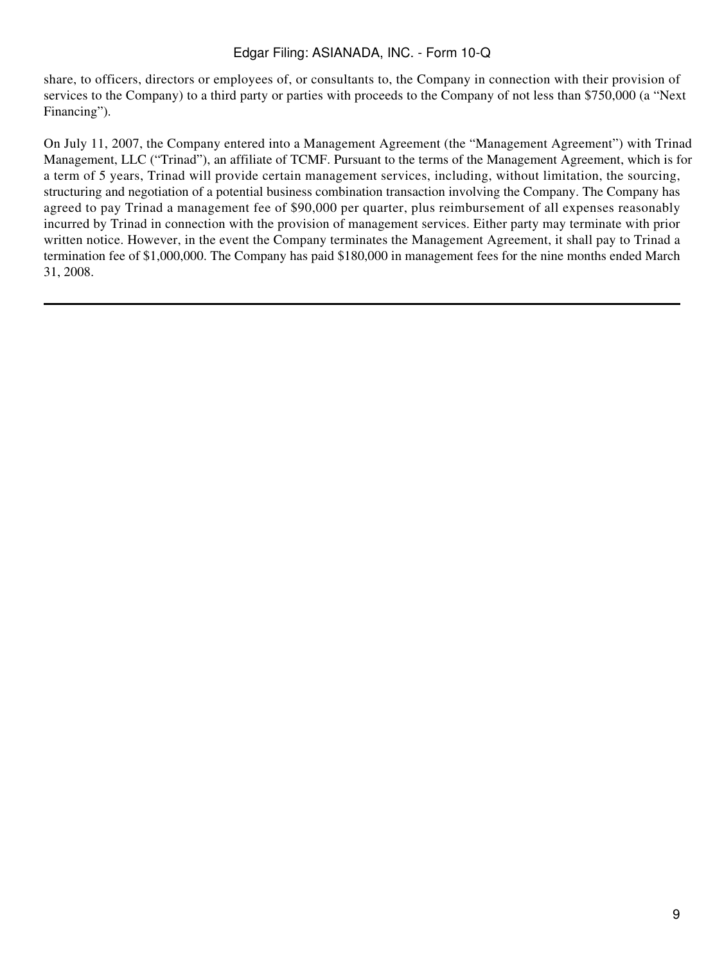share, to officers, directors or employees of, or consultants to, the Company in connection with their provision of services to the Company) to a third party or parties with proceeds to the Company of not less than \$750,000 (a "Next Financing").

On July 11, 2007, the Company entered into a Management Agreement (the "Management Agreement") with Trinad Management, LLC ("Trinad"), an affiliate of TCMF. Pursuant to the terms of the Management Agreement, which is for a term of 5 years, Trinad will provide certain management services, including, without limitation, the sourcing, structuring and negotiation of a potential business combination transaction involving the Company. The Company has agreed to pay Trinad a management fee of \$90,000 per quarter, plus reimbursement of all expenses reasonably incurred by Trinad in connection with the provision of management services. Either party may terminate with prior written notice. However, in the event the Company terminates the Management Agreement, it shall pay to Trinad a termination fee of \$1,000,000. The Company has paid \$180,000 in management fees for the nine months ended March 31, 2008.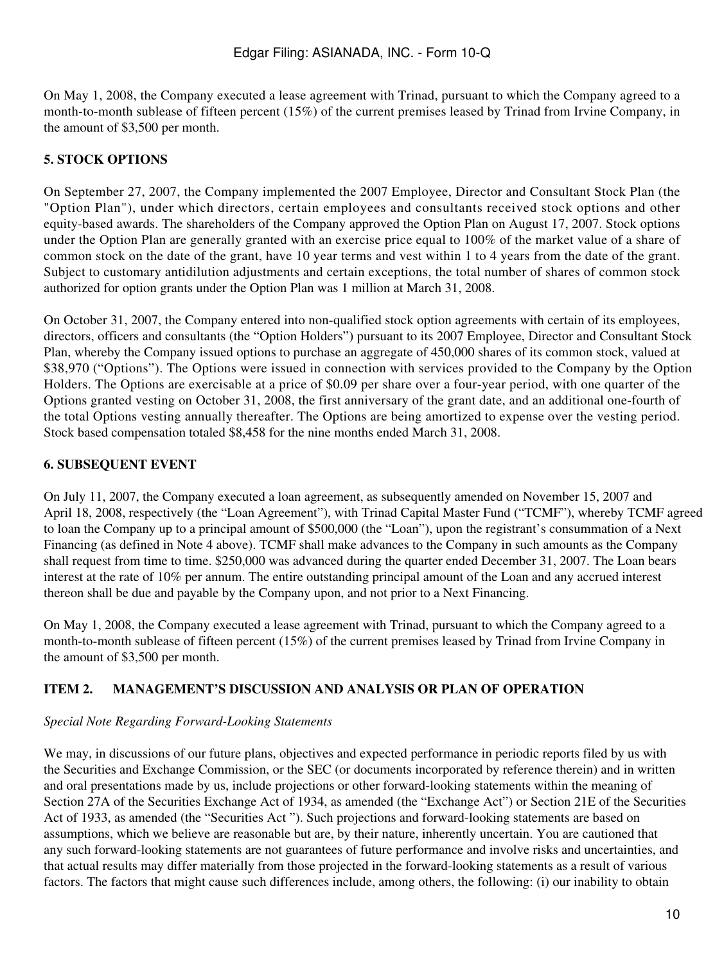On May 1, 2008, the Company executed a lease agreement with Trinad, pursuant to which the Company agreed to a month-to-month sublease of fifteen percent (15%) of the current premises leased by Trinad from Irvine Company, in the amount of \$3,500 per month.

# **5. STOCK OPTIONS**

On September 27, 2007, the Company implemented the 2007 Employee, Director and Consultant Stock Plan (the "Option Plan"), under which directors, certain employees and consultants received stock options and other equity-based awards. The shareholders of the Company approved the Option Plan on August 17, 2007. Stock options under the Option Plan are generally granted with an exercise price equal to 100% of the market value of a share of common stock on the date of the grant, have 10 year terms and vest within 1 to 4 years from the date of the grant. Subject to customary antidilution adjustments and certain exceptions, the total number of shares of common stock authorized for option grants under the Option Plan was 1 million at March 31, 2008.

On October 31, 2007, the Company entered into non-qualified stock option agreements with certain of its employees, directors, officers and consultants (the "Option Holders") pursuant to its 2007 Employee, Director and Consultant Stock Plan, whereby the Company issued options to purchase an aggregate of 450,000 shares of its common stock, valued at \$38,970 ("Options"). The Options were issued in connection with services provided to the Company by the Option Holders. The Options are exercisable at a price of \$0.09 per share over a four-year period, with one quarter of the Options granted vesting on October 31, 2008, the first anniversary of the grant date, and an additional one-fourth of the total Options vesting annually thereafter. The Options are being amortized to expense over the vesting period. Stock based compensation totaled \$8,458 for the nine months ended March 31, 2008.

# **6. SUBSEQUENT EVENT**

On July 11, 2007, the Company executed a loan agreement, as subsequently amended on November 15, 2007 and April 18, 2008, respectively (the "Loan Agreement"), with Trinad Capital Master Fund ("TCMF"), whereby TCMF agreed to loan the Company up to a principal amount of \$500,000 (the "Loan"), upon the registrant's consummation of a Next Financing (as defined in Note 4 above). TCMF shall make advances to the Company in such amounts as the Company shall request from time to time. \$250,000 was advanced during the quarter ended December 31, 2007. The Loan bears interest at the rate of 10% per annum. The entire outstanding principal amount of the Loan and any accrued interest thereon shall be due and payable by the Company upon, and not prior to a Next Financing.

On May 1, 2008, the Company executed a lease agreement with Trinad, pursuant to which the Company agreed to a month-to-month sublease of fifteen percent (15%) of the current premises leased by Trinad from Irvine Company in the amount of \$3,500 per month.

# **ITEM 2. MANAGEMENT'S DISCUSSION AND ANALYSIS OR PLAN OF OPERATION**

## *Special Note Regarding Forward-Looking Statements*

We may, in discussions of our future plans, objectives and expected performance in periodic reports filed by us with the Securities and Exchange Commission, or the SEC (or documents incorporated by reference therein) and in written and oral presentations made by us, include projections or other forward-looking statements within the meaning of Section 27A of the Securities Exchange Act of 1934, as amended (the "Exchange Act") or Section 21E of the Securities Act of 1933, as amended (the "Securities Act "). Such projections and forward-looking statements are based on assumptions, which we believe are reasonable but are, by their nature, inherently uncertain. You are cautioned that any such forward-looking statements are not guarantees of future performance and involve risks and uncertainties, and that actual results may differ materially from those projected in the forward-looking statements as a result of various factors. The factors that might cause such differences include, among others, the following: (i) our inability to obtain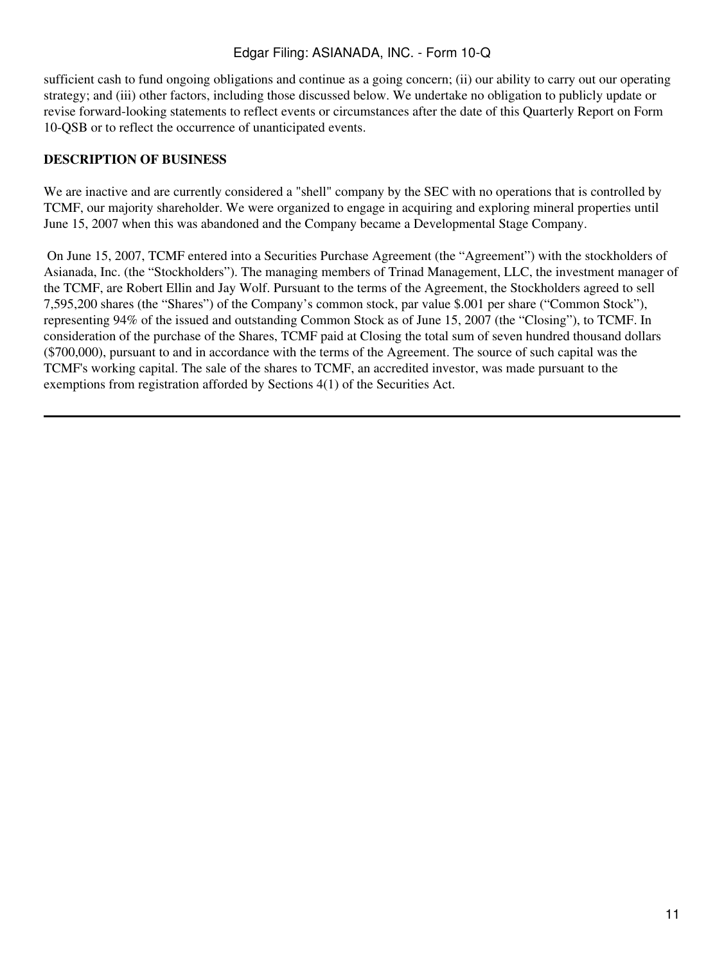sufficient cash to fund ongoing obligations and continue as a going concern; (ii) our ability to carry out our operating strategy; and (iii) other factors, including those discussed below. We undertake no obligation to publicly update or revise forward-looking statements to reflect events or circumstances after the date of this Quarterly Report on Form 10-QSB or to reflect the occurrence of unanticipated events.

# **DESCRIPTION OF BUSINESS**

We are inactive and are currently considered a "shell" company by the SEC with no operations that is controlled by TCMF, our majority shareholder. We were organized to engage in acquiring and exploring mineral properties until June 15, 2007 when this was abandoned and the Company became a Developmental Stage Company.

 On June 15, 2007, TCMF entered into a Securities Purchase Agreement (the "Agreement") with the stockholders of Asianada, Inc. (the "Stockholders"). The managing members of Trinad Management, LLC, the investment manager of the TCMF, are Robert Ellin and Jay Wolf. Pursuant to the terms of the Agreement, the Stockholders agreed to sell 7,595,200 shares (the "Shares") of the Company's common stock, par value \$.001 per share ("Common Stock"), representing 94% of the issued and outstanding Common Stock as of June 15, 2007 (the "Closing"), to TCMF. In consideration of the purchase of the Shares, TCMF paid at Closing the total sum of seven hundred thousand dollars (\$700,000), pursuant to and in accordance with the terms of the Agreement. The source of such capital was the TCMF's working capital. The sale of the shares to TCMF, an accredited investor, was made pursuant to the exemptions from registration afforded by Sections 4(1) of the Securities Act.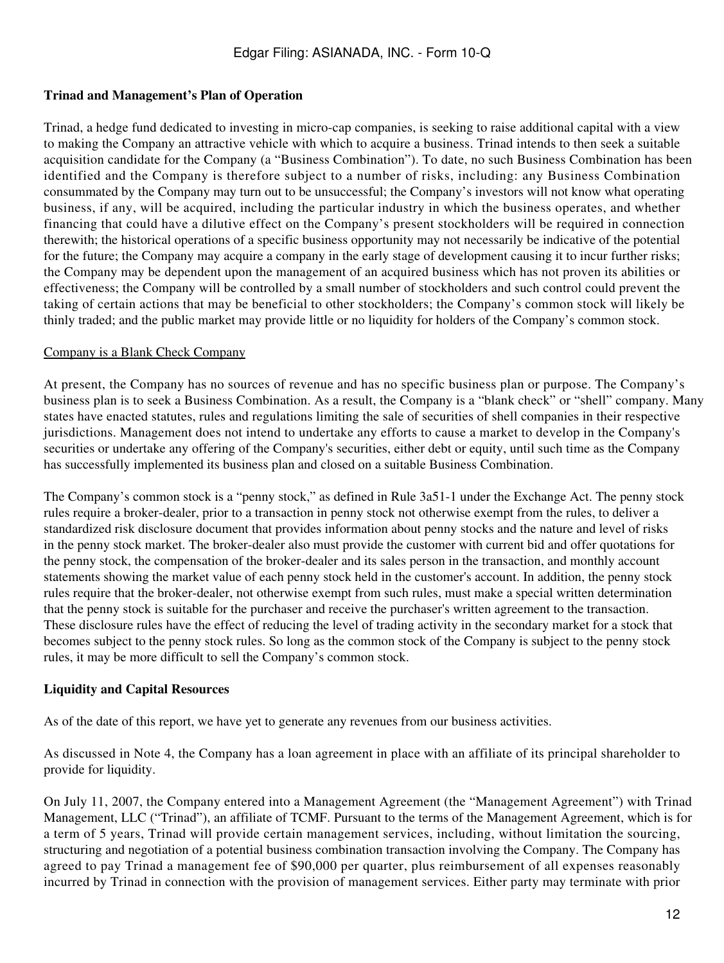## **Trinad and Management's Plan of Operation**

Trinad, a hedge fund dedicated to investing in micro-cap companies, is seeking to raise additional capital with a view to making the Company an attractive vehicle with which to acquire a business. Trinad intends to then seek a suitable acquisition candidate for the Company (a "Business Combination"). To date, no such Business Combination has been identified and the Company is therefore subject to a number of risks, including: any Business Combination consummated by the Company may turn out to be unsuccessful; the Company's investors will not know what operating business, if any, will be acquired, including the particular industry in which the business operates, and whether financing that could have a dilutive effect on the Company's present stockholders will be required in connection therewith; the historical operations of a specific business opportunity may not necessarily be indicative of the potential for the future; the Company may acquire a company in the early stage of development causing it to incur further risks; the Company may be dependent upon the management of an acquired business which has not proven its abilities or effectiveness; the Company will be controlled by a small number of stockholders and such control could prevent the taking of certain actions that may be beneficial to other stockholders; the Company's common stock will likely be thinly traded; and the public market may provide little or no liquidity for holders of the Company's common stock.

#### Company is a Blank Check Company

At present, the Company has no sources of revenue and has no specific business plan or purpose. The Company's business plan is to seek a Business Combination. As a result, the Company is a "blank check" or "shell" company. Many states have enacted statutes, rules and regulations limiting the sale of securities of shell companies in their respective jurisdictions. Management does not intend to undertake any efforts to cause a market to develop in the Company's securities or undertake any offering of the Company's securities, either debt or equity, until such time as the Company has successfully implemented its business plan and closed on a suitable Business Combination.

The Company's common stock is a "penny stock," as defined in Rule 3a51-1 under the Exchange Act. The penny stock rules require a broker-dealer, prior to a transaction in penny stock not otherwise exempt from the rules, to deliver a standardized risk disclosure document that provides information about penny stocks and the nature and level of risks in the penny stock market. The broker-dealer also must provide the customer with current bid and offer quotations for the penny stock, the compensation of the broker-dealer and its sales person in the transaction, and monthly account statements showing the market value of each penny stock held in the customer's account. In addition, the penny stock rules require that the broker-dealer, not otherwise exempt from such rules, must make a special written determination that the penny stock is suitable for the purchaser and receive the purchaser's written agreement to the transaction. These disclosure rules have the effect of reducing the level of trading activity in the secondary market for a stock that becomes subject to the penny stock rules. So long as the common stock of the Company is subject to the penny stock rules, it may be more difficult to sell the Company's common stock.

## **Liquidity and Capital Resources**

As of the date of this report, we have yet to generate any revenues from our business activities.

As discussed in Note 4, the Company has a loan agreement in place with an affiliate of its principal shareholder to provide for liquidity.

On July 11, 2007, the Company entered into a Management Agreement (the "Management Agreement") with Trinad Management, LLC ("Trinad"), an affiliate of TCMF. Pursuant to the terms of the Management Agreement, which is for a term of 5 years, Trinad will provide certain management services, including, without limitation the sourcing, structuring and negotiation of a potential business combination transaction involving the Company. The Company has agreed to pay Trinad a management fee of \$90,000 per quarter, plus reimbursement of all expenses reasonably incurred by Trinad in connection with the provision of management services. Either party may terminate with prior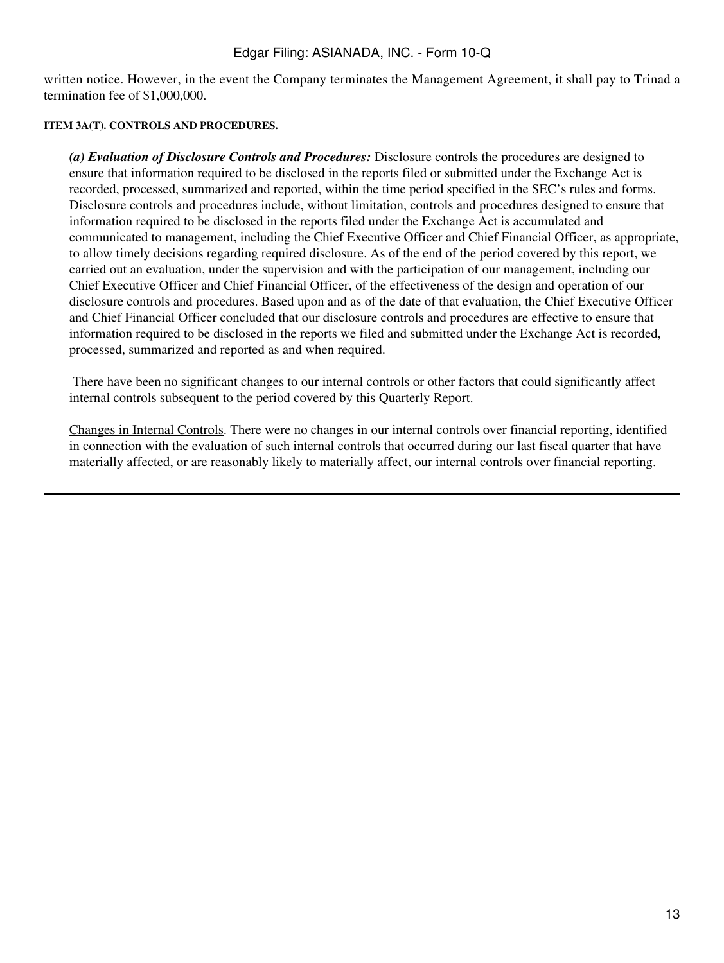written notice. However, in the event the Company terminates the Management Agreement, it shall pay to Trinad a termination fee of \$1,000,000.

#### **ITEM 3A(T). CONTROLS AND PROCEDURES.**

*(a) Evaluation of Disclosure Controls and Procedures:* Disclosure controls the procedures are designed to ensure that information required to be disclosed in the reports filed or submitted under the Exchange Act is recorded, processed, summarized and reported, within the time period specified in the SEC's rules and forms. Disclosure controls and procedures include, without limitation, controls and procedures designed to ensure that information required to be disclosed in the reports filed under the Exchange Act is accumulated and communicated to management, including the Chief Executive Officer and Chief Financial Officer, as appropriate, to allow timely decisions regarding required disclosure. As of the end of the period covered by this report, we carried out an evaluation, under the supervision and with the participation of our management, including our Chief Executive Officer and Chief Financial Officer, of the effectiveness of the design and operation of our disclosure controls and procedures. Based upon and as of the date of that evaluation, the Chief Executive Officer and Chief Financial Officer concluded that our disclosure controls and procedures are effective to ensure that information required to be disclosed in the reports we filed and submitted under the Exchange Act is recorded, processed, summarized and reported as and when required.

 There have been no significant changes to our internal controls or other factors that could significantly affect internal controls subsequent to the period covered by this Quarterly Report.

Changes in Internal Controls. There were no changes in our internal controls over financial reporting, identified in connection with the evaluation of such internal controls that occurred during our last fiscal quarter that have materially affected, or are reasonably likely to materially affect, our internal controls over financial reporting.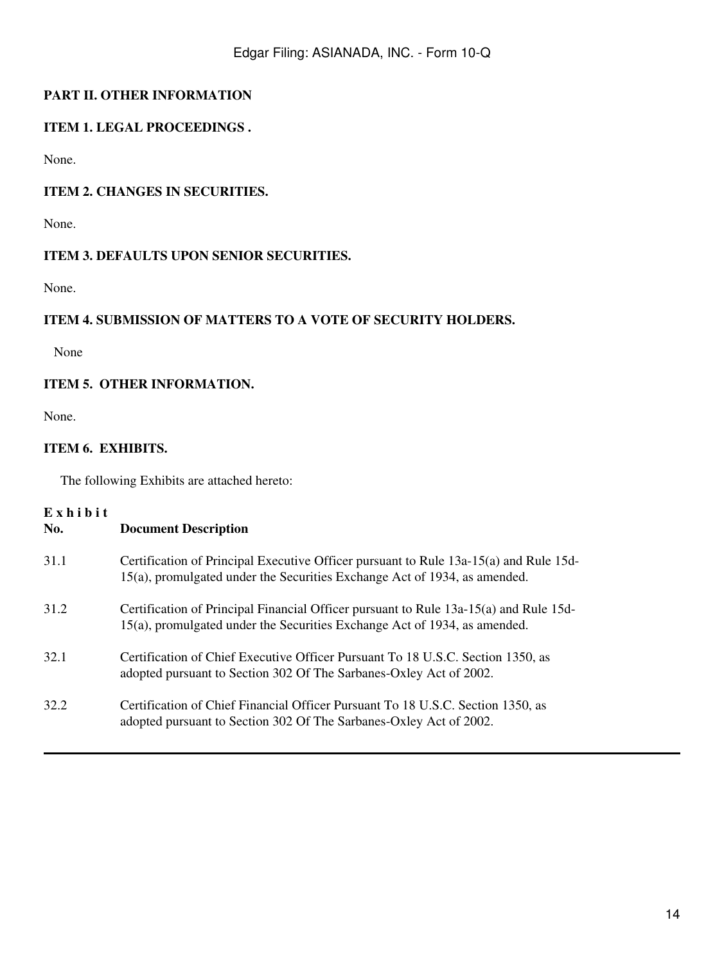# **PART II. OTHER INFORMATION**

# **ITEM 1. LEGAL PROCEEDINGS .**

None.

# **ITEM 2. CHANGES IN SECURITIES.**

None.

## **ITEM 3. DEFAULTS UPON SENIOR SECURITIES.**

None.

# **ITEM 4. SUBMISSION OF MATTERS TO A VOTE OF SECURITY HOLDERS.**

None

## **ITEM 5. OTHER INFORMATION.**

None.

# **ITEM 6. EXHIBITS.**

The following Exhibits are attached hereto:

## **Exhibit**

| No.  | <b>Document Description</b>                                                                                                                                        |
|------|--------------------------------------------------------------------------------------------------------------------------------------------------------------------|
| 31.1 | Certification of Principal Executive Officer pursuant to Rule 13a-15(a) and Rule 15d-<br>15(a), promulgated under the Securities Exchange Act of 1934, as amended. |
| 31.2 | Certification of Principal Financial Officer pursuant to Rule 13a-15(a) and Rule 15d-<br>15(a), promulgated under the Securities Exchange Act of 1934, as amended. |
| 32.1 | Certification of Chief Executive Officer Pursuant To 18 U.S.C. Section 1350, as<br>adopted pursuant to Section 302 Of The Sarbanes-Oxley Act of 2002.              |
| 32.2 | Certification of Chief Financial Officer Pursuant To 18 U.S.C. Section 1350, as<br>adopted pursuant to Section 302 Of The Sarbanes-Oxley Act of 2002.              |